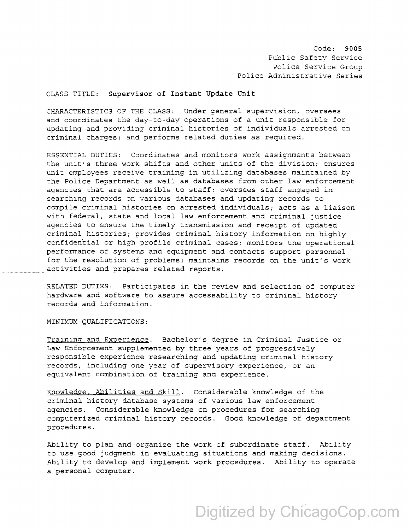Code: 9005 Public Safety Service Police Service Group Police Administrative Series

## CLASS TITLE: Supervisor of Instant Update Unit

CHARACTERISTICS OF THE CLASS: Under general supervision, oversees and coordinates the day-to-day operations of a unit responsible for updating and providing criminal histories of individuals arrested on criminal charges; and performs related duties as required.

ESSENTIAL DUTIES: Coordinates and monitors work assignments between the unit's three work shifts and other units of the division; ensures unit employees receive training in utilizing databases maintained by the Police Department as well as databases from other law enforcement agencies that are accessible to staff; oversees staff engaged in searching records on various databases and updating records to compile criminal histories on arrested individuals; acts as a liaison with federal, state and local law enforcement and criminal justice agencies to ensure the timely transmission and receipt of updated criminal histories; provides criminal history information on highly confidential or high profile criminal cases; monitors the operational performance of systems and equipment and contacts support personnel for the resolution of problems; maintains records on the unit's work activities and prepares related reports.

RELATED DUTIES: Participates in the review and selection of computer hardware and software to assure accessability to criminal history records and information.

MINIMUM QUALIFICATIONS:

Training and Experience. Bachelor's degree in Criminal Justice or Law Enforcement supplemented by three years of progressively responsible experience researching and updating criminal history records, including one year of supervisory experience, or an equivalent combination of training and experience.

Knowledge, Abilities and Skill. Considerable knowledge of the criminal history database systems of various law enforcement agencies. Considerable knowledge on procedures for searching computerized criminal history records. Good knowledge of department procedures.

Ability to plan and organize the work of subordinate staff. Ability to use good judgment in evaluating situations and making decisions. Ability to develop and implement work procedures. Ability to operate a personal computer.

## Digitized by ChicagoCop.com